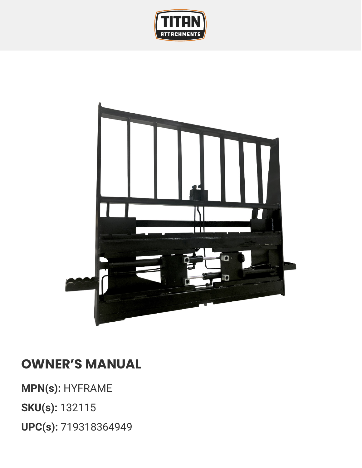



## **OWNER'S MANUAL**

**MPN(s):** HYFRAME

**SKU(s):** 132115

**UPC(s):** 719318364949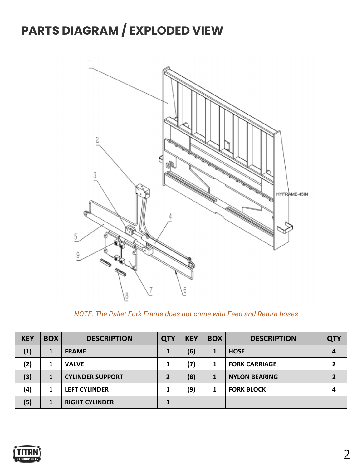## **PARTS DIAGRAM / EXPLODED VIEW**



*NOTE: The Pallet Fork Frame does not come with Feed and Return hoses*

| <b>KEY</b> | <b>BOX</b>   | <b>DESCRIPTION</b>      | <b>QTY</b> | <b>KEY</b> | <b>BOX</b> | <b>DESCRIPTION</b>   | <b>QTY</b> |
|------------|--------------|-------------------------|------------|------------|------------|----------------------|------------|
| (1)        | $\mathbf{1}$ | <b>FRAME</b>            | 1          | (6)        |            | <b>HOSE</b>          |            |
| (2)        |              | <b>VALVE</b>            | 1          | (7)        |            | <b>FORK CARRIAGE</b> |            |
| (3)        |              | <b>CYLINDER SUPPORT</b> | 2          | (8)        |            | <b>NYLON BEARING</b> |            |
| (4)        |              | <b>LEFT CYLINDER</b>    | 1          | (9)        |            | <b>FORK BLOCK</b>    |            |
| (5)        |              | <b>RIGHT CYLINDER</b>   |            |            |            |                      |            |